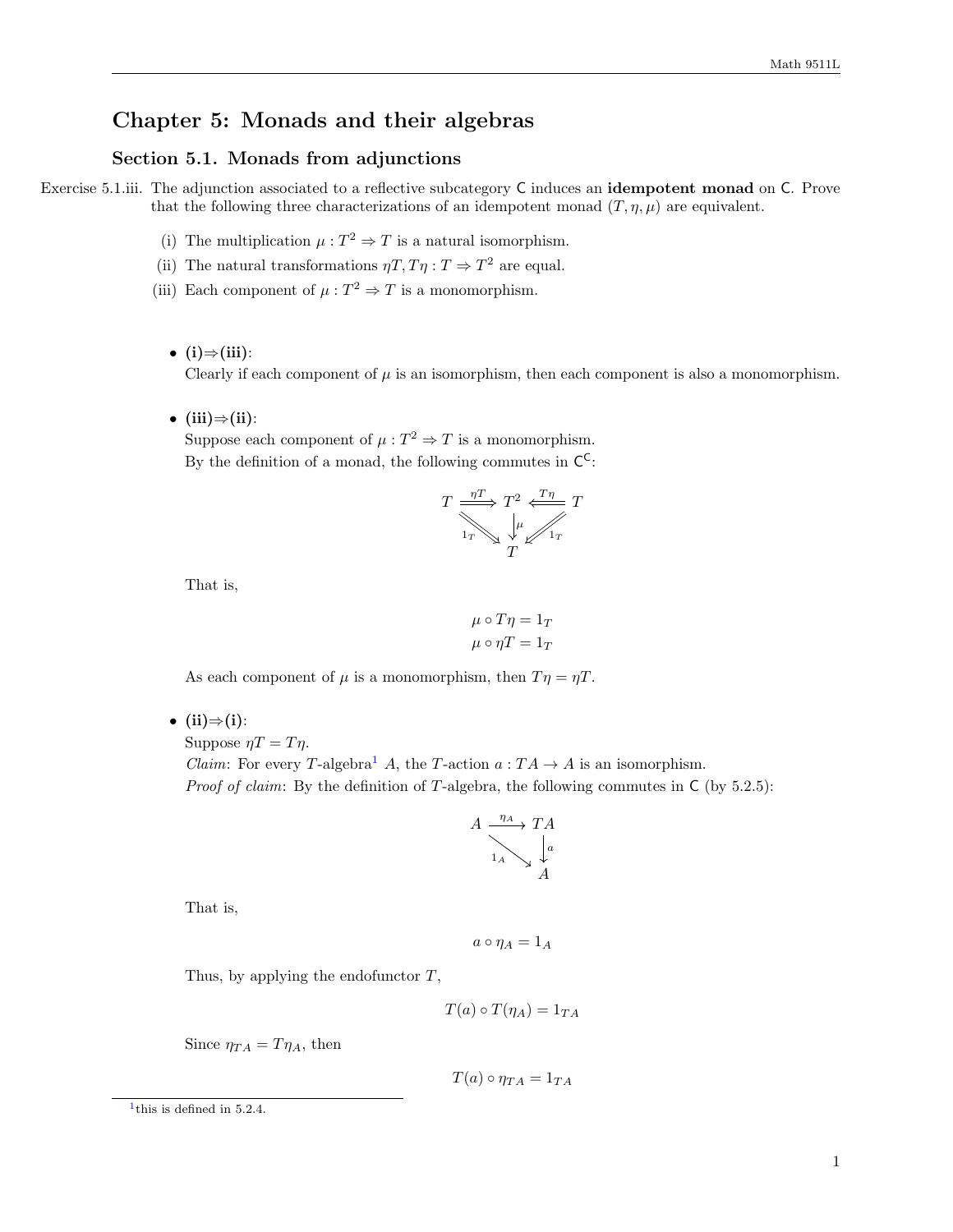## Chapter 5: Monads and their algebras

## Section 5.1. Monads from adjunctions

Exercise 5.1.iii. The adjunction associated to a reflective subcategory C induces an idempotent monad on C. Prove that the following three characterizations of an idempotent monad  $(T, \eta, \mu)$  are equivalent.

- (i) The multiplication  $\mu : T^2 \Rightarrow T$  is a natural isomorphism.
- (ii) The natural transformations  $\eta T, T\eta : T \Rightarrow T^2$  are equal.
- (iii) Each component of  $\mu : T^2 \Rightarrow T$  is a monomorphism.
	- (i) $\Rightarrow$ (iii):

Clearly if each component of  $\mu$  is an isomorphism, then each component is also a monomorphism.

• (iii) $\Rightarrow$ (ii):

Suppose each component of  $\mu : T^2 \Rightarrow T$  is a monomorphism. By the definition of a monad, the following commutes in  $\mathsf{C}^{\mathsf{C}}$ :

$$
T \xrightarrow[1_T]{\eta T} T^2 \xleftarrow[T \eta T]
$$

$$
T
$$

$$
T
$$

That is,

$$
\mu \circ T\eta = 1_T
$$

$$
\mu \circ \eta T = 1_T
$$

As each component of  $\mu$  is a monomorphism, then  $T\eta = \eta T$ .

• (ii) $\Rightarrow$ (i):

Suppose  $\eta T = T \eta$ .

*Claim:* For every T-algebra<sup>[1](#page-0-0)</sup> A, the T-action  $a:TA\to A$  is an isomorphism. *Proof of claim:* By the definition of T-algebra, the following commutes in  $C$  (by 5.2.5):

$$
A \xrightarrow{\eta_A} T A
$$
  
\n
$$
1_A \searrow \downarrow^a
$$
  
\n
$$
A
$$

That is,

$$
a\circ \eta_A=1_A
$$

Thus, by applying the endofunctor  $T$ ,

$$
T(a) \circ T(\eta_A) = 1_{TA}
$$

Since  $\eta_{TA} = T \eta_A$ , then

 $T(a) \circ \eta_{TA} = 1_{TA}$ 

<span id="page-0-0"></span><sup>1</sup> this is defined in 5.2.4.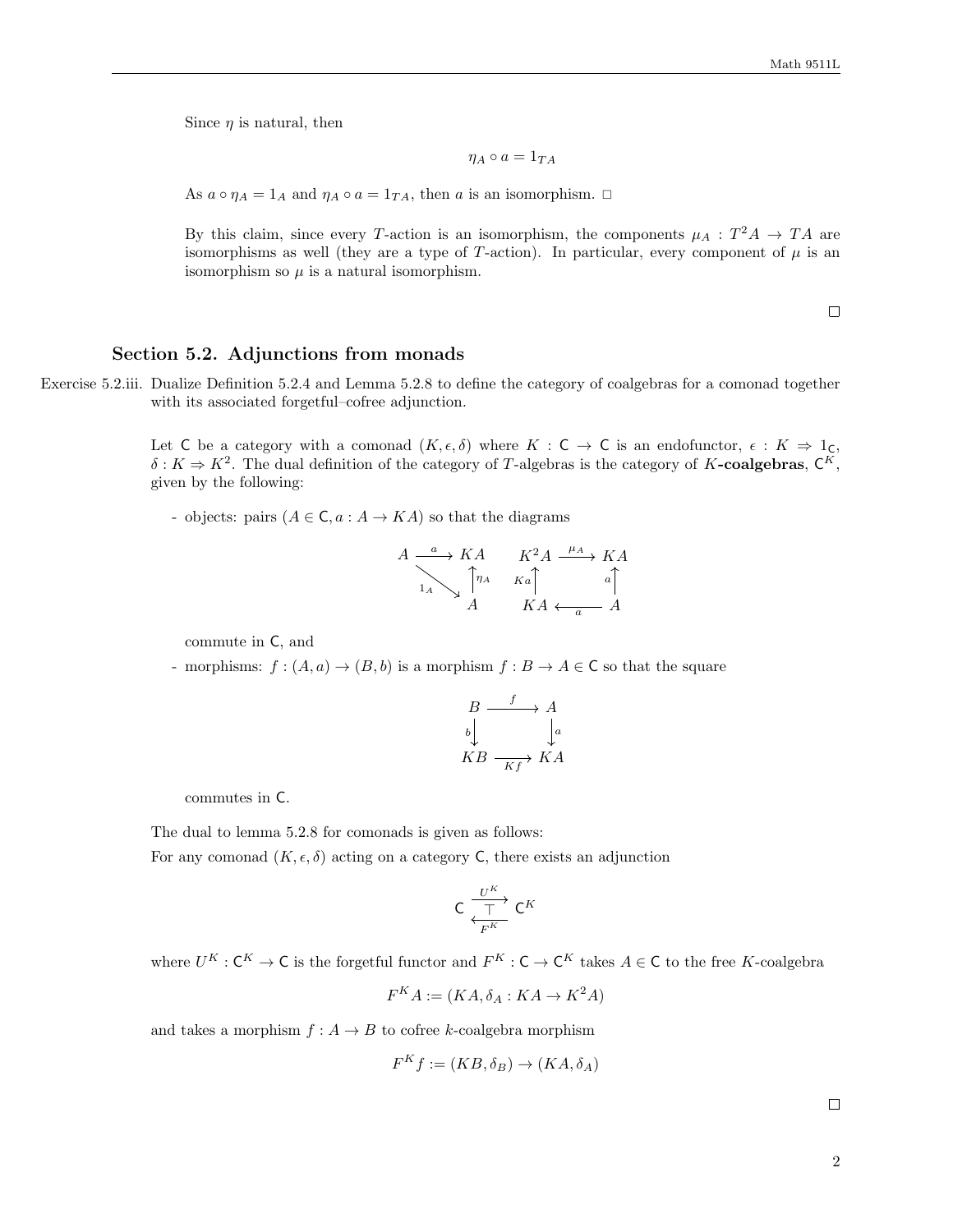Since  $\eta$  is natural, then

$$
\eta_A\circ a=1_{TA}
$$

As  $a \circ \eta_A = 1_A$  and  $\eta_A \circ a = 1_{TA}$ , then a is an isomorphism.  $\Box$ 

By this claim, since every T-action is an isomorphism, the components  $\mu_A: T^2A \to TA$  are isomorphisms as well (they are a type of T-action). In particular, every component of  $\mu$  is an isomorphism so  $\mu$  is a natural isomorphism.

 $\Box$ 

## Section 5.2. Adjunctions from monads

Exercise 5.2.iii. Dualize Definition 5.2.4 and Lemma 5.2.8 to define the category of coalgebras for a comonad together with its associated forgetful–cofree adjunction.

> Let C be a category with a comonad  $(K, \epsilon, \delta)$  where  $K : C \to C$  is an endofunctor,  $\epsilon : K \Rightarrow 1_{C}$ ,  $\delta: K \Rightarrow K^2$ . The dual definition of the category of T-algebras is the category of K-coalgebras,  $\mathsf{C}^K$ , given by the following:

- objects: pairs  $(A \in \mathsf{C}, a : A \to KA)$  so that the diagrams

$$
A \xrightarrow{\begin{array}{c}\n a \\
 \downarrow \\
 a\n \end{array}} K A \qquad K^2 A \xrightarrow{\begin{array}{c}\n \mu_A \\
 \downarrow \\
 K a \end{array}} K A
$$
\n
$$
K^2 A \xrightarrow{\begin{array}{c}\n \mu_A \\
 \downarrow \\
 a \end{array}} K A
$$
\n
$$
K A \xleftarrow{\begin{array}{c}\n a \\
 \uparrow \\
 A\n \end{array}} A
$$

commute in C, and

- morphisms:  $f : (A, a) \to (B, b)$  is a morphism  $f : B \to A \in \mathbb{C}$  so that the square

$$
\begin{array}{ccc}\n & B & \xrightarrow{f} & A \\
b & & \downarrow a \\
KB & \xrightarrow{Kf} & KA\n\end{array}
$$

commutes in C.

The dual to lemma 5.2.8 for comonads is given as follows:

For any comonad  $(K, \epsilon, \delta)$  acting on a category C, there exists an adjunction

$$
C \xrightarrow[\frac{U^K}{F^K}] C^K
$$

where  $U^K : \mathsf{C}^K \to \mathsf{C}$  is the forgetful functor and  $F^K : \mathsf{C} \to \mathsf{C}^K$  takes  $A \in \mathsf{C}$  to the free K-coalgebra

$$
F^K A := (KA, \delta_A : KA \to K^2 A)
$$

and takes a morphism  $f : A \to B$  to cofree k-coalgebra morphism

$$
F^K f := (KB, \delta_B) \to (KA, \delta_A)
$$

 $\Box$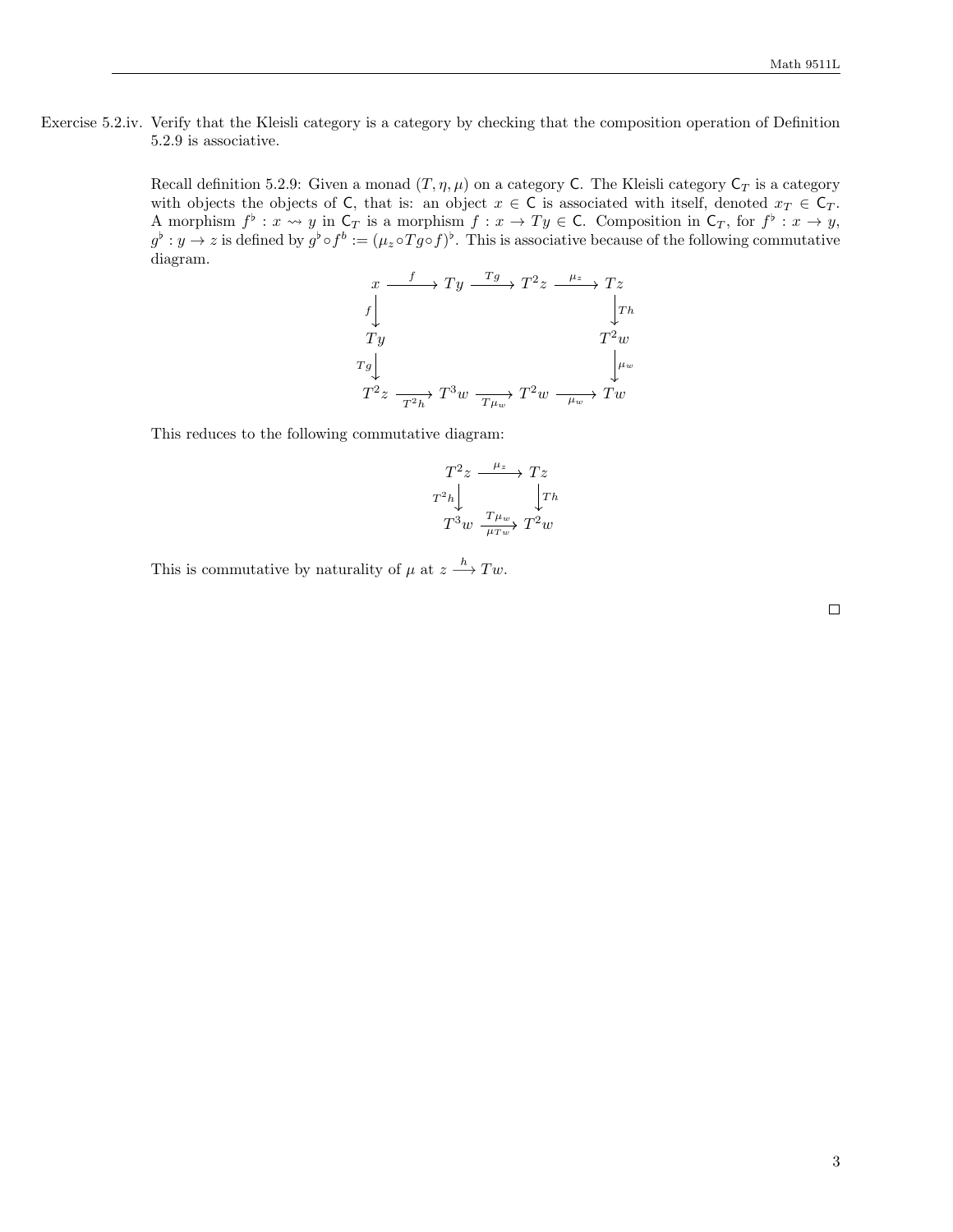Exercise 5.2.iv. Verify that the Kleisli category is a category by checking that the composition operation of Definition 5.2.9 is associative.

> Recall definition 5.2.9: Given a monad  $(T, \eta, \mu)$  on a category C. The Kleisli category  $C_T$  is a category with objects the objects of C, that is: an object  $x \in C$  is associated with itself, denoted  $x_T \in C_T$ . A morphism  $f^{\flat}: x \rightsquigarrow y$  in  $\mathsf{C}_T$  is a morphism  $f: x \to Ty \in \mathsf{C}$ . Composition in  $\mathsf{C}_T$ , for  $f^{\flat}: x \to y$ ,  $g^{\flat}: y \to z$  is defined by  $g^{\flat} \circ f^b := (\mu_z \circ Tg \circ f)^{\flat}$ . This is associative because of the following commutative diagram.

$$
x \xrightarrow{f} Ty \xrightarrow{Tg} T^2 z \xrightarrow{\mu_z} Tz
$$
  
\n
$$
T_y
$$
  
\n
$$
T^2 w
$$
  
\n
$$
T^2 z \xrightarrow{T^2 h} T^3 w \xrightarrow{T\mu_w} T^2 w \xrightarrow{\mu_w} Tw
$$

This reduces to the following commutative diagram:

$$
\begin{array}{ccc}\nT^2 z & \xrightarrow{\mu_z} & Tz \\
T^2 h & & \downarrow Th \\
T^3 w & \xrightarrow{\tau_{\mu_w}} & T^2 w\n\end{array}
$$

This is commutative by naturality of  $\mu$  at  $z \stackrel{h}{\longrightarrow} Tw$ .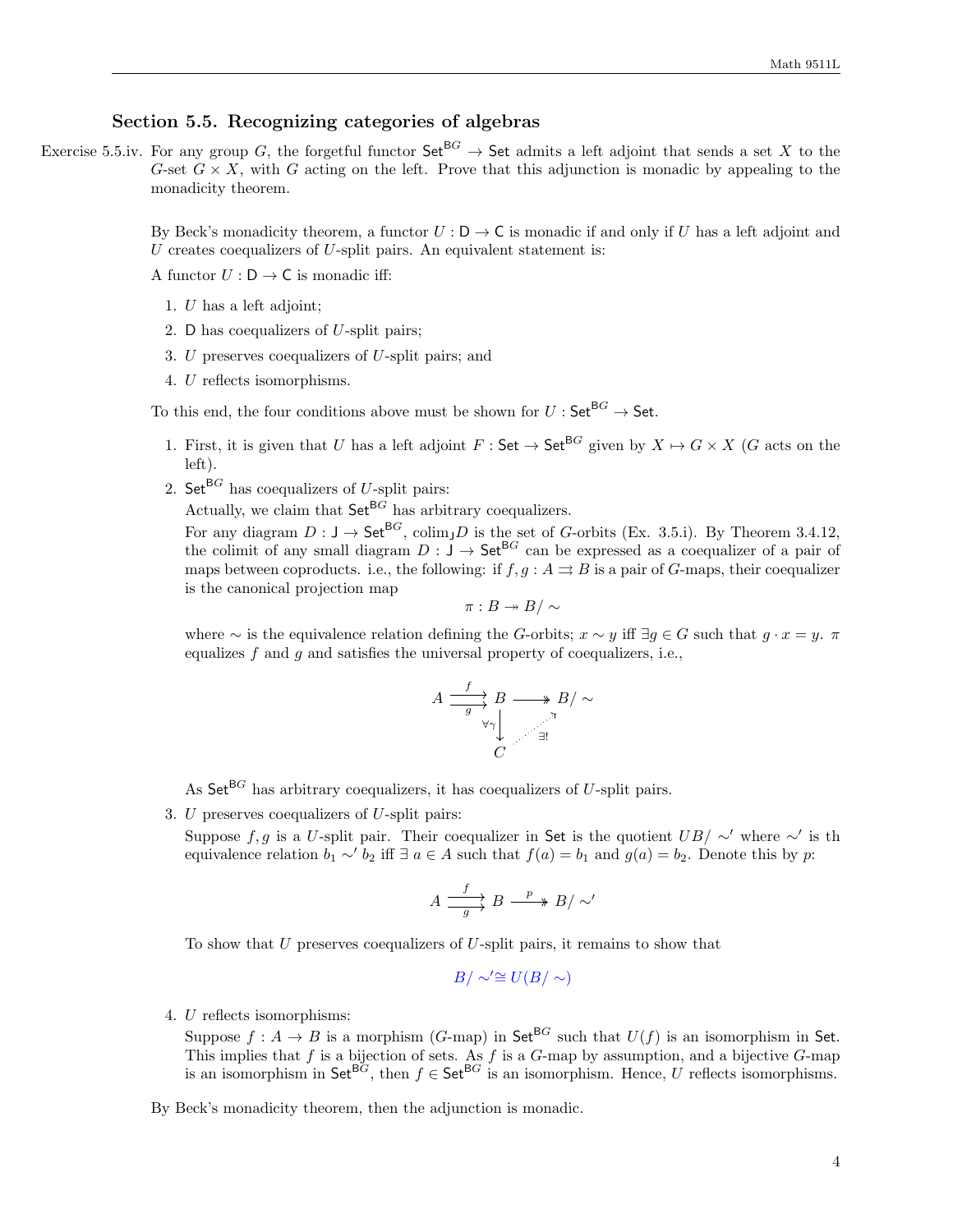## Section 5.5. Recognizing categories of algebras

Exercise 5.5.iv. For any group G, the forgetful functor  $\mathsf{Set}^{\mathsf{B}G} \to \mathsf{Set}$  admits a left adjoint that sends a set X to the G-set  $G \times X$ , with G acting on the left. Prove that this adjunction is monadic by appealing to the monadicity theorem.

> By Beck's monadicity theorem, a functor  $U: D \to C$  is monadic if and only if U has a left adjoint and U creates coequalizers of U-split pairs. An equivalent statement is:

A functor  $U: \mathsf{D} \to \mathsf{C}$  is monadic iff:

- 1. U has a left adjoint;
- 2. D has coequalizers of U-split pairs;
- 3.  $U$  preserves coequalizers of  $U$ -split pairs; and
- 4. U reflects isomorphisms.

To this end, the four conditions above must be shown for  $U: \mathsf{Set}^{\mathsf{B}G} \to \mathsf{Set}$ .

- 1. First, it is given that U has a left adjoint  $F : \mathsf{Set} \to \mathsf{Set}^{\mathsf{BG}}$  given by  $X \mapsto G \times X$  (G acts on the left).
- 2. Set<sup>BG</sup> has coequalizers of U-split pairs:

Actually, we claim that  $\mathsf{Set}^{\mathsf{B}G}$  has arbitrary coequalizers.

For any diagram  $D: J \to \mathsf{Set}^{\mathsf{B}G}$ , colim<sub>J</sub>D is the set of G-orbits (Ex. 3.5.i). By Theorem 3.4.12, the colimit of any small diagram  $D : J \to Set^{BG}$  can be expressed as a coequalizer of a pair of maps between coproducts. i.e., the following: if  $f, g : A \rightrightarrows B$  is a pair of G-maps, their coequalizer is the canonical projection map

$$
\pi:B\twoheadrightarrow B/\sim
$$

where ∼ is the equivalence relation defining the G-orbits;  $x \sim y$  iff  $\exists g \in G$  such that  $g \cdot x = y$ .  $\pi$ equalizes f and  $q$  and satisfies the universal property of coequalizers, i.e.,

$$
A \xrightarrow{f} B \longrightarrow B/\sim
$$
  
\n $\forall \gamma \downarrow$   
\n $C$   
\n $\exists!$ 

As  $\mathsf{Set}^{\mathsf{B}G}$  has arbitrary coequalizers, it has coequalizers of U-split pairs.

3.  $U$  preserves coequalizers of  $U$ -split pairs:

Suppose f, g is a U-split pair. Their coequalizer in Set is the quotient  $UB / \sim'$  where  $\sim'$  is the equivalence relation  $b_1 \sim' b_2$  iff  $\exists a \in A$  such that  $f(a) = b_1$  and  $g(a) = b_2$ . Denote this by p:

$$
A \xrightarrow{f} B \xrightarrow{p} B/\sim'
$$

To show that  $U$  preserves coequalizers of  $U$ -split pairs, it remains to show that

$$
B/\sim\cong U(B/\sim)
$$

4. U reflects isomorphisms:

Suppose  $f: A \to B$  is a morphism  $(G-\text{map})$  in Set<sup>BG</sup> such that  $U(f)$  is an isomorphism in Set. This implies that f is a bijection of sets. As f is a G-map by assumption, and a bijective G-map is an isomorphism in Set<sup>BG</sup>, then  $f \in \mathsf{Set}^{\mathsf{BG}}$  is an isomorphism. Hence, U reflects isomorphisms.

By Beck's monadicity theorem, then the adjunction is monadic.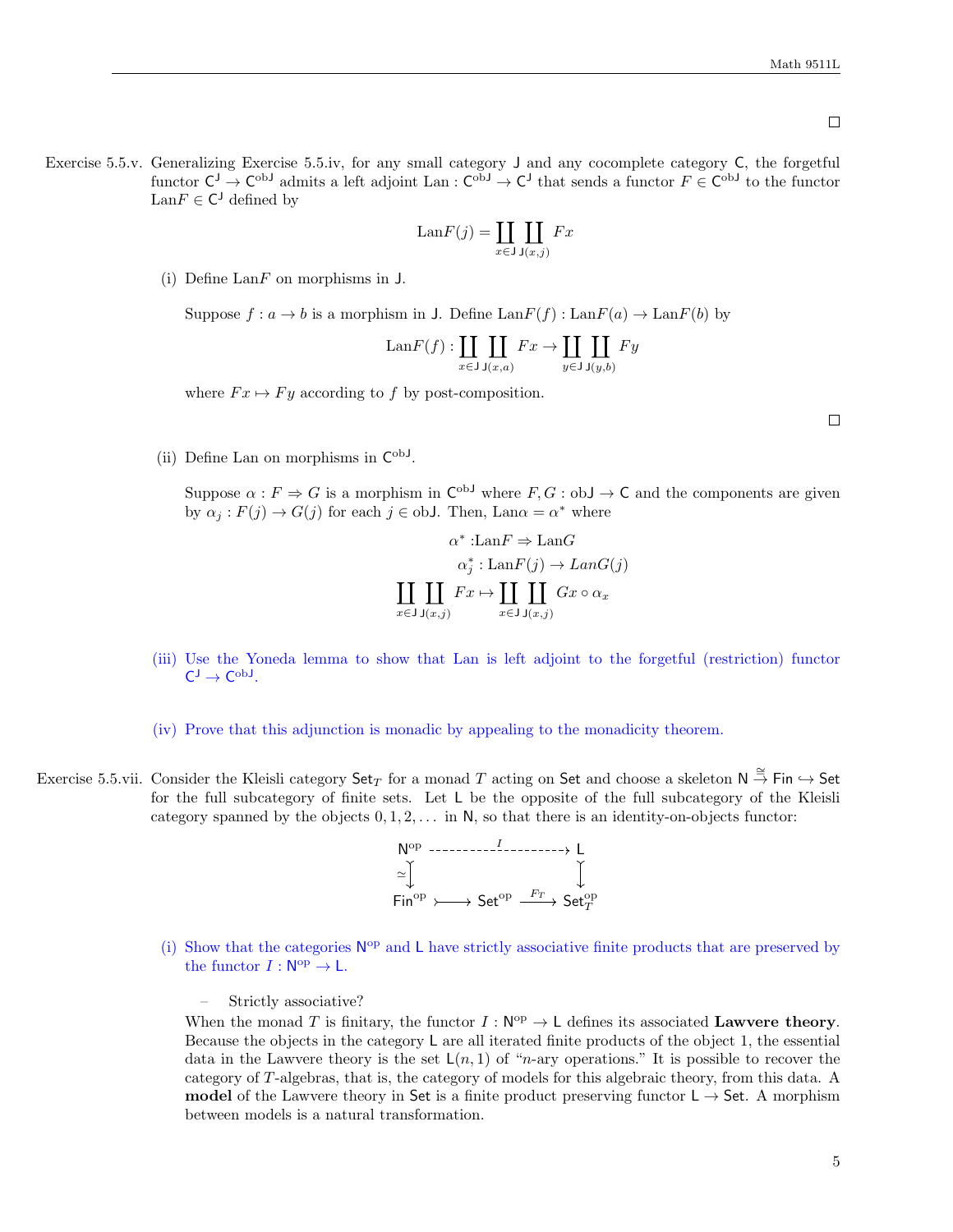$\Box$ 

Exercise 5.5.v. Generalizing Exercise 5.5.iv, for any small category J and any cocomplete category C, the forgetful functor  $C^J \to C^{obJ}$  admits a left adjoint Lan:  $C^{obJ} \to C^J$  that sends a functor  $F \in C^{obJ}$  to the functor  $\text{Lan} F \in \mathsf{C}^{\mathsf{J}}$  defined by

$$
LanF(j) = \coprod_{x \in J} \coprod_{J(x,j)} Fx
$$

(i) Define  $\text{Lan}F$  on morphisms in  $J$ .

Suppose  $f: a \to b$  is a morphism in J. Define  $\text{Lan}F(f): \text{Lan}F(a) \to \text{Lan}F(b)$  by

$$
\text{Lan}F(f): \coprod_{x \in J} \coprod_{\mathsf{J}(x,a)} Fx \to \coprod_{y \in J} \coprod_{\mathsf{J}(y,b)} Fy
$$

where  $Fx \mapsto Fy$  according to f by post-composition.

(ii) Define Lan on morphisms in  $C^{obJ}$ .

Suppose  $\alpha : F \Rightarrow G$  is a morphism in  $C^{ob}$  where  $F, G : ob \rightarrow C$  and the components are given by  $\alpha_j : F(j) \to G(j)$  for each  $j \in \text{obJ}$ . Then, Lan $\alpha = \alpha^*$  where

$$
\alpha^* : \text{Lan}F \Rightarrow \text{Lan}G
$$

$$
\alpha_j^* : \text{Lan}F(j) \to \text{Lan}G(j)
$$

$$
\coprod_{x \in \text{J J}(x,j)} \coprod_{x \in \text{J J}(\text{J})} \text{Gx} \circ \alpha_x
$$

- (iii) Use the Yoneda lemma to show that Lan is left adjoint to the forgetful (restriction) functor  $C_{1} \rightarrow C_{\text{op}}$
- (iv) Prove that this adjunction is monadic by appealing to the monadicity theorem.
- Exercise 5.5.vii. Consider the Kleisli category  $\mathsf{Set}_T$  for a monad T acting on Set and choose a skeleton  $\mathsf{N} \stackrel{\cong}{\to} \mathsf{Fin} \hookrightarrow \mathsf{Set}$ for the full subcategory of finite sets. Let L be the opposite of the full subcategory of the Kleisli category spanned by the objects  $0, 1, 2, \ldots$  in N, so that there is an identity-on-objects functor:



(i) Show that the categories  $N^{op}$  and L have strictly associative finite products that are preserved by the functor  $I : \mathsf{N}^{\mathrm{op}} \to \mathsf{L}.$ 

– Strictly associative?

When the monad T is finitary, the functor  $I : \mathsf{N}^{\mathrm{op}} \to \mathsf{L}$  defines its associated Lawvere theory. Because the objects in the category L are all iterated finite products of the object 1, the essential data in the Lawvere theory is the set  $\mathsf{L}(n,1)$  of "n-ary operations." It is possible to recover the category of T-algebras, that is, the category of models for this algebraic theory, from this data. A **model** of the Lawvere theory in Set is a finite product preserving functor  $L \rightarrow$  Set. A morphism between models is a natural transformation.

 $\Box$